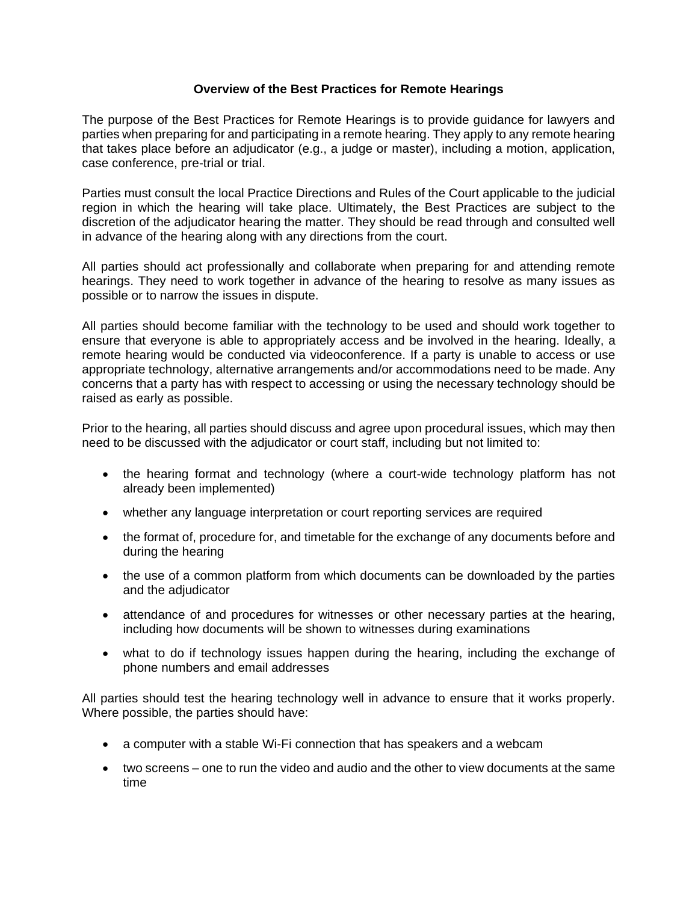## **Overview of the Best Practices for Remote Hearings**

The purpose of the Best Practices for Remote Hearings is to provide guidance for lawyers and parties when preparing for and participating in a remote hearing. They apply to any remote hearing that takes place before an adjudicator (e.g., a judge or master), including a motion, application, case conference, pre-trial or trial.

Parties must consult the local Practice Directions and Rules of the Court applicable to the judicial region in which the hearing will take place. Ultimately, the Best Practices are subject to the discretion of the adjudicator hearing the matter. They should be read through and consulted well in advance of the hearing along with any directions from the court.

All parties should act professionally and collaborate when preparing for and attending remote hearings. They need to work together in advance of the hearing to resolve as many issues as possible or to narrow the issues in dispute.

All parties should become familiar with the technology to be used and should work together to ensure that everyone is able to appropriately access and be involved in the hearing. Ideally, a remote hearing would be conducted via videoconference. If a party is unable to access or use appropriate technology, alternative arrangements and/or accommodations need to be made. Any concerns that a party has with respect to accessing or using the necessary technology should be raised as early as possible.

Prior to the hearing, all parties should discuss and agree upon procedural issues, which may then need to be discussed with the adjudicator or court staff, including but not limited to:

- the hearing format and technology (where a court-wide technology platform has not already been implemented)
- whether any language interpretation or court reporting services are required
- the format of, procedure for, and timetable for the exchange of any documents before and during the hearing
- the use of a common platform from which documents can be downloaded by the parties and the adjudicator
- attendance of and procedures for witnesses or other necessary parties at the hearing, including how documents will be shown to witnesses during examinations
- what to do if technology issues happen during the hearing, including the exchange of phone numbers and email addresses

All parties should test the hearing technology well in advance to ensure that it works properly. Where possible, the parties should have:

- a computer with a stable Wi-Fi connection that has speakers and a webcam
- two screens one to run the video and audio and the other to view documents at the same time